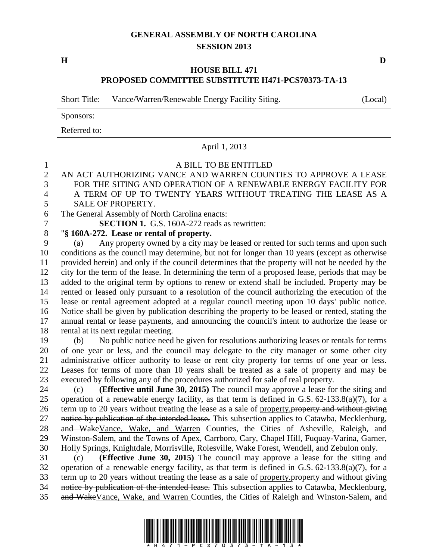## **GENERAL ASSEMBLY OF NORTH CAROLINA SESSION 2013**

**H D**

### **HOUSE BILL 471 PROPOSED COMMITTEE SUBSTITUTE H471-PCS70373-TA-13**

Short Title: Vance/Warren/Renewable Energy Facility Siting. (Local)

Sponsors:

Referred to:

# April 1, 2013

# A BILL TO BE ENTITLED AN ACT AUTHORIZING VANCE AND WARREN COUNTIES TO APPROVE A LEASE FOR THE SITING AND OPERATION OF A RENEWABLE ENERGY FACILITY FOR A TERM OF UP TO TWENTY YEARS WITHOUT TREATING THE LEASE AS A SALE OF PROPERTY. The General Assembly of North Carolina enacts:

**SECTION 1.** G.S. 160A-272 reads as rewritten:

# "**§ 160A-272. Lease or rental of property.**

 (a) Any property owned by a city may be leased or rented for such terms and upon such conditions as the council may determine, but not for longer than 10 years (except as otherwise provided herein) and only if the council determines that the property will not be needed by the city for the term of the lease. In determining the term of a proposed lease, periods that may be added to the original term by options to renew or extend shall be included. Property may be rented or leased only pursuant to a resolution of the council authorizing the execution of the lease or rental agreement adopted at a regular council meeting upon 10 days' public notice. Notice shall be given by publication describing the property to be leased or rented, stating the annual rental or lease payments, and announcing the council's intent to authorize the lease or rental at its next regular meeting.

 (b) No public notice need be given for resolutions authorizing leases or rentals for terms of one year or less, and the council may delegate to the city manager or some other city administrative officer authority to lease or rent city property for terms of one year or less. Leases for terms of more than 10 years shall be treated as a sale of property and may be executed by following any of the procedures authorized for sale of real property.

 (c) **(Effective until June 30, 2015)** The council may approve a lease for the siting and operation of a renewable energy facility, as that term is defined in G.S. 62-133.8(a)(7), for a 26 term up to 20 years without treating the lease as a sale of property. **property and without giving** 27 notice by publication of the intended lease. This subsection applies to Catawba, Mecklenburg, and WakeVance, Wake, and Warren Counties, the Cities of Asheville, Raleigh, and Winston-Salem, and the Towns of Apex, Carrboro, Cary, Chapel Hill, Fuquay-Varina, Garner, Holly Springs, Knightdale, Morrisville, Rolesville, Wake Forest, Wendell, and Zebulon only.

 (c) **(Effective June 30, 2015)** The council may approve a lease for the siting and operation of a renewable energy facility, as that term is defined in G.S. 62-133.8(a)(7), for a 33 term up to 20 years without treating the lease as a sale of property. property and without giving 34 notice by publication of the intended lease. This subsection applies to Catawba, Mecklenburg, and WakeVance, Wake, and Warren Counties, the Cities of Raleigh and Winston-Salem, and